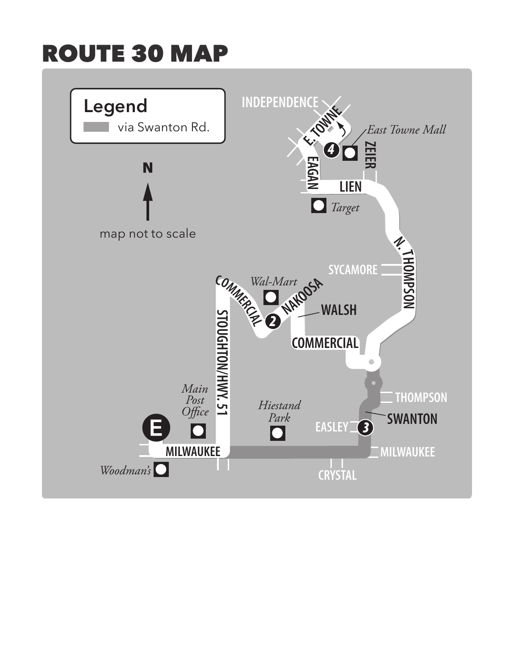## ROUTE 30 MAP

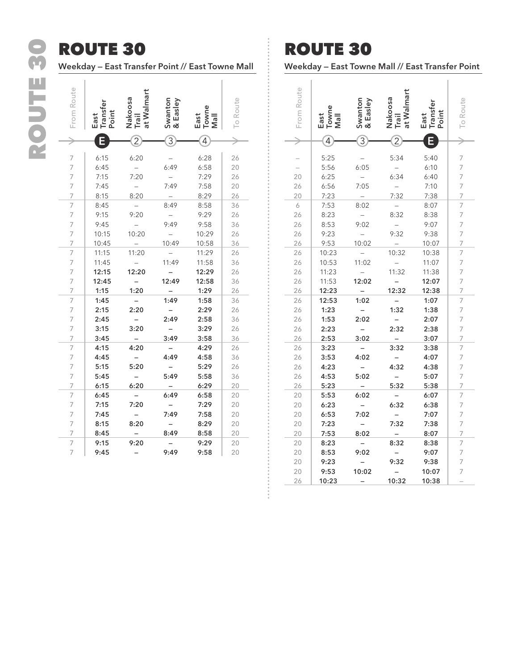## ROUTE 30 ROUTE 30

## ROUTE 30

**Weekday — East Transfer Point // East Towne Mall**

| From Route     | <b>Transfer</b><br>Point<br>East | at Walmart<br>Nakoosa<br>Trail | Swanton<br>& Easley | Towne<br>East<br>JleN | <b>Io Route</b> |
|----------------|----------------------------------|--------------------------------|---------------------|-----------------------|-----------------|
|                |                                  |                                | $\overline{3}$      | 4                     |                 |
|                |                                  |                                |                     |                       |                 |
| 7              | 6:15                             | 6:20                           |                     | 6:28                  | 26              |
| $\overline{7}$ | 6:45                             |                                | 6:49                | 6:58                  | 20              |
| 7              | 7:15                             | 7:20                           |                     | 7:29                  | 26              |
| 7              | 7:45                             |                                | 7:49                | 7:58                  | 20              |
| $\overline{7}$ | 8:15                             | 8:20                           |                     | 8:29                  | 26              |
| $\overline{7}$ | 8:45                             |                                | 8:49                | 8:58                  | 36              |
| $\overline{7}$ | 9:15                             | 9:20                           |                     | 9:29                  | 26              |
| $\overline{7}$ | 9:45                             |                                | 9:49                | 9:58                  | 36              |
| $\overline{7}$ | 10:15                            | 10:20                          |                     | 10:29                 | 26              |
| 7              | 10:45                            |                                | 10:49               | 10:58                 | 36              |
| 7              | 11:15                            | 11:20                          |                     | 11:29                 | 26              |
| $\overline{7}$ | 11:45                            |                                | 11:49               | 11:58                 | 36              |
| $\overline{7}$ | 12:15                            | 12:20                          |                     | 12:29                 | 26              |
| 7              | 12:45                            |                                | 12:49               | 12:58                 | 36              |
| 7              | 1:15                             | 1:20                           |                     | 1:29                  | 26              |
| $\overline{7}$ | 1:45                             |                                | 1:49                | 1:58                  | 36              |
| $\overline{7}$ | 2:15                             | 2:20                           |                     | 2:29                  | 26              |
| 7              | 2:45                             |                                | 2:49                | 2:58                  | 36              |
| $\overline{7}$ | 3:15                             | 3:20                           |                     | 3:29                  | 26              |
| $\overline{7}$ | 3:45                             |                                | 3:49                | 3:58                  | 36              |
| $\overline{7}$ | 4:15                             | 4:20                           |                     | 4:29                  | 26              |
| $\overline{7}$ | 4:45                             |                                | 4:49                | 4:58                  | 36              |
| $\overline{7}$ | 5:15                             | 5:20                           |                     | 5:29                  | 26              |
| $\overline{7}$ | 5:45                             |                                | 5:49                | 5:58                  | 36              |
| 7              | 6:15                             | 6:20                           |                     | 6:29                  | 20              |
| 7              | 6:45                             |                                | 6:49                | 6:58                  | 20              |
| 7              | 7:15                             | 7:20                           |                     | 7:29                  | 20              |
| $\overline{7}$ | 7:45                             |                                | 7:49                | 7:58                  | 20              |
| $\overline{7}$ | 8:15                             | 8:20                           |                     | 8:29                  | 20              |
| 7              | 8:45                             |                                | 8:49                | 8:58                  | 20              |
| $\overline{7}$ | 9:15                             | 9:20                           |                     | 9:29                  | 20              |
| 7              | 9:45                             |                                | 9:49                | 9:58                  | 20              |

## ROUTE 30

**Weekday — East Towne Mall // East Transfer Point**

| From Route | East<br>Towne<br>Jal | Swanton<br>& Easley | at Walmart<br>Nakoosa<br>Trail | ranster<br>Point<br>East | To Route            |
|------------|----------------------|---------------------|--------------------------------|--------------------------|---------------------|
|            | 4                    | $\overline{3}$      |                                |                          |                     |
|            |                      |                     |                                |                          |                     |
|            | 5:25                 |                     | 5:34                           | 5:40                     | 7                   |
|            | 5:56                 | 6:05                |                                | 6:10                     | 7                   |
| 20         | 6:25                 |                     | 6:34                           | 6:40                     | 7                   |
| 26         | 6:56                 | 7:05                |                                | 7:10                     | 7                   |
| 20         | 7:23                 |                     | 7:32                           | 7:38                     | 7                   |
| 6          | 7:53                 | 8:02                |                                | 8:07                     | 7                   |
| 26         | 8:23                 |                     | 8:32                           | 8:38                     | 7                   |
| 26         | 8:53                 | 9:02                |                                | 9:07                     | 7                   |
| 26         | 9:23                 |                     | 9:32                           | 9:38                     | 7                   |
| 26         | 9:53                 | 10:02               |                                | 10:07                    | 7                   |
| 26         | 10:23                |                     | 10:32                          | 10:38                    | 7                   |
| 26         | 10:53                | 11:02               |                                | 11:07                    | 7                   |
| 26         | 11:23                |                     | 11:32                          | 11:38                    | 7                   |
| 26         | 11:53                | 12:02               |                                | 12:07                    | $\overline{7}$      |
| 26         | 12:23                |                     | 12:32                          | 12:38                    | 7<br>$\overline{7}$ |
| 26         | 12:53<br>1:23        | 1:02                | 1:32                           | 1:07                     | 7                   |
| 26         |                      | 2:02                |                                | 1:38                     |                     |
| 26<br>26   | 1:53                 |                     | 2:32                           | 2:07                     | 7<br>7              |
| 26         | 2:23<br>2:53         | 3:02                |                                | 2:38<br>3:07             | 7                   |
| 26         | 3:23                 |                     | 3:32                           | 3:38                     | $\overline{7}$      |
| 26         | 3:53                 | 4:02                |                                | 4:07                     | 7                   |
| 26         | 4:23                 |                     | 4:32                           | 4:38                     | 7                   |
| 26         | 4:53                 | 5:02                |                                | 5:07                     | 7                   |
| 26         | 5:23                 |                     | 5:32                           | 5:38                     | 7                   |
| 20         | 5:53                 | 6:02                |                                | 6:07                     | 7                   |
| 20         | 6:23                 |                     | 6:32                           | 6:38                     | 7                   |
| 20         | 6:53                 | 7:02                |                                | 7:07                     | 7                   |
| 20         | 7:23                 |                     | 7:32                           | 7:38                     | $\overline{7}$      |
| 20         | 7:53                 | 8:02                |                                | 8:07                     | 7                   |
| 20         | 8:23                 |                     | 8:32                           | 8:38                     | 7                   |
| 20         | 8:53                 | 9:02                |                                | 9:07                     | 7                   |
| 20         | 9:23                 |                     | 9:32                           | 9:38                     | 7                   |
| 20         | 9:53                 | 10:02               |                                | 10:07                    | 7                   |
| 26         | 10:23                |                     | 10:32                          | 10:38                    |                     |